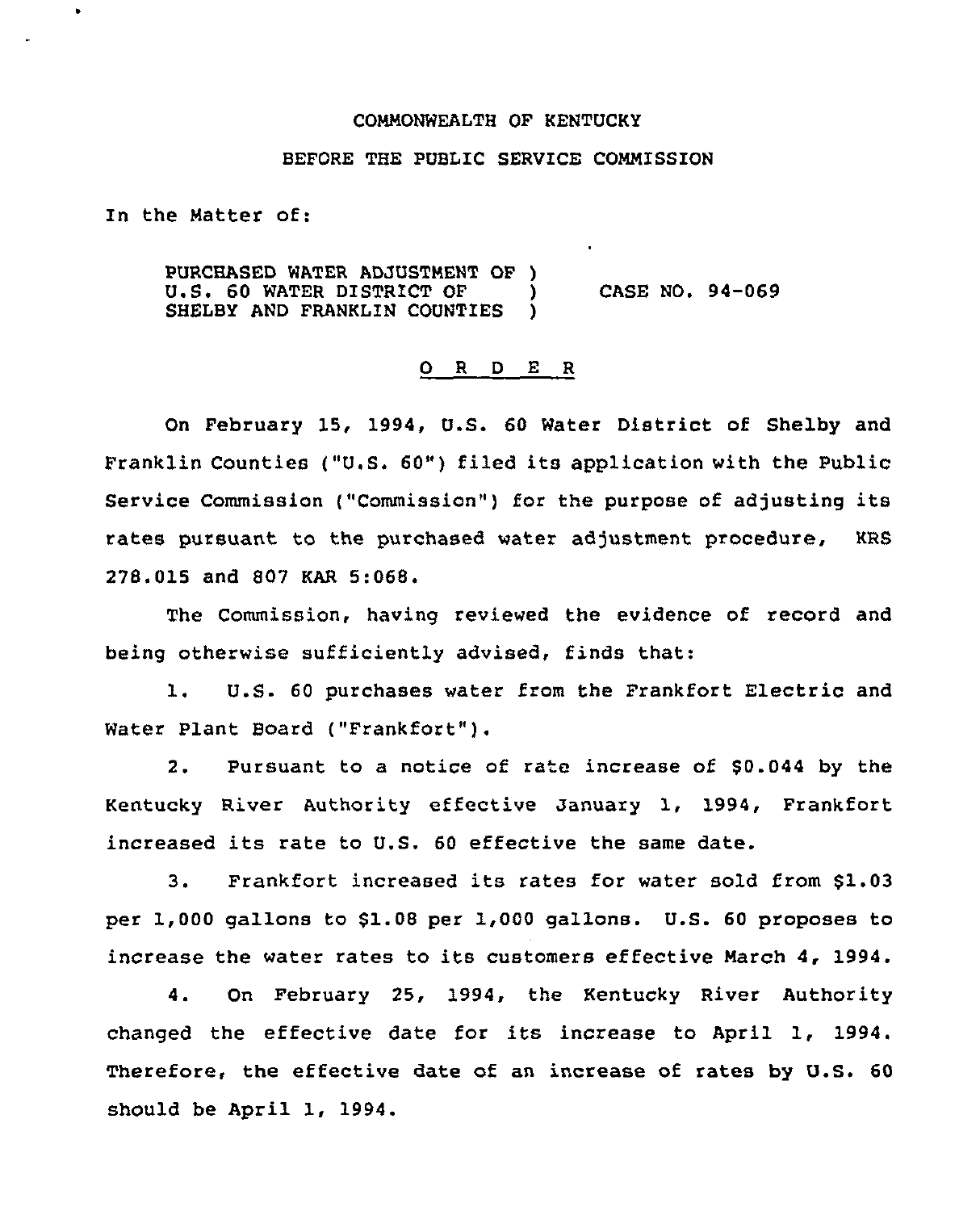### CONNONWEALTH OF KENTUCKY

#### BEFORE THE PUBLIC SERVICE COMMISSION

In the Natter of:

 $\blacksquare$ 

PURCHASED WATER ADJUSTMENT OF )<br>U.S. 60 WATER DISTRICT OF ) U.S. 60 WATER DISTRICT OF  $\qquad$  )<br>SHELBY AND FRANKLIN COUNTIES ) SHELBY AND FRANKLIN COUNTIES CASE NO. 94-069

### 0 <sup>R</sup> <sup>D</sup> E <sup>R</sup>

On February 15, 1994, U.S. 60 Water District of Shelby and Franklin Counties ("U.S. 60") filed its application with the Public Service Commission ("Commission") for the purpose of adjusting its rates pursuant to the purchased water adjustment procedure, KRS 278.015 and 807 KAR 5:068.

The Commission, having reviewed the evidence of record and being otherwise sufficiently advised, finds that:

1. U.S. <sup>60</sup> purchases water from the Frankfort Electric and Water Plant Board ("Frankfort").

2. Pursuant to a notice of rate increase of \$0.044 by the Kentucky River Authority effective January 1, 1994, Frankfort increased its rate to U.S, <sup>60</sup> effective the same date.

3. Frankfort increased its rates for water sold from \$1.03 per 1,000 gallons to  $$1.08$  per 1,000 gallons. U.S. 60 proposes to increase the water rates to its customers effective March 4, 1994.

4. On February 25, 1994, the Kentucky River Authority changed the effective date for its increase to April 1, 1994. Therefore, the effective date of an increase of rates by U.S. 60 should be April 1, 1994.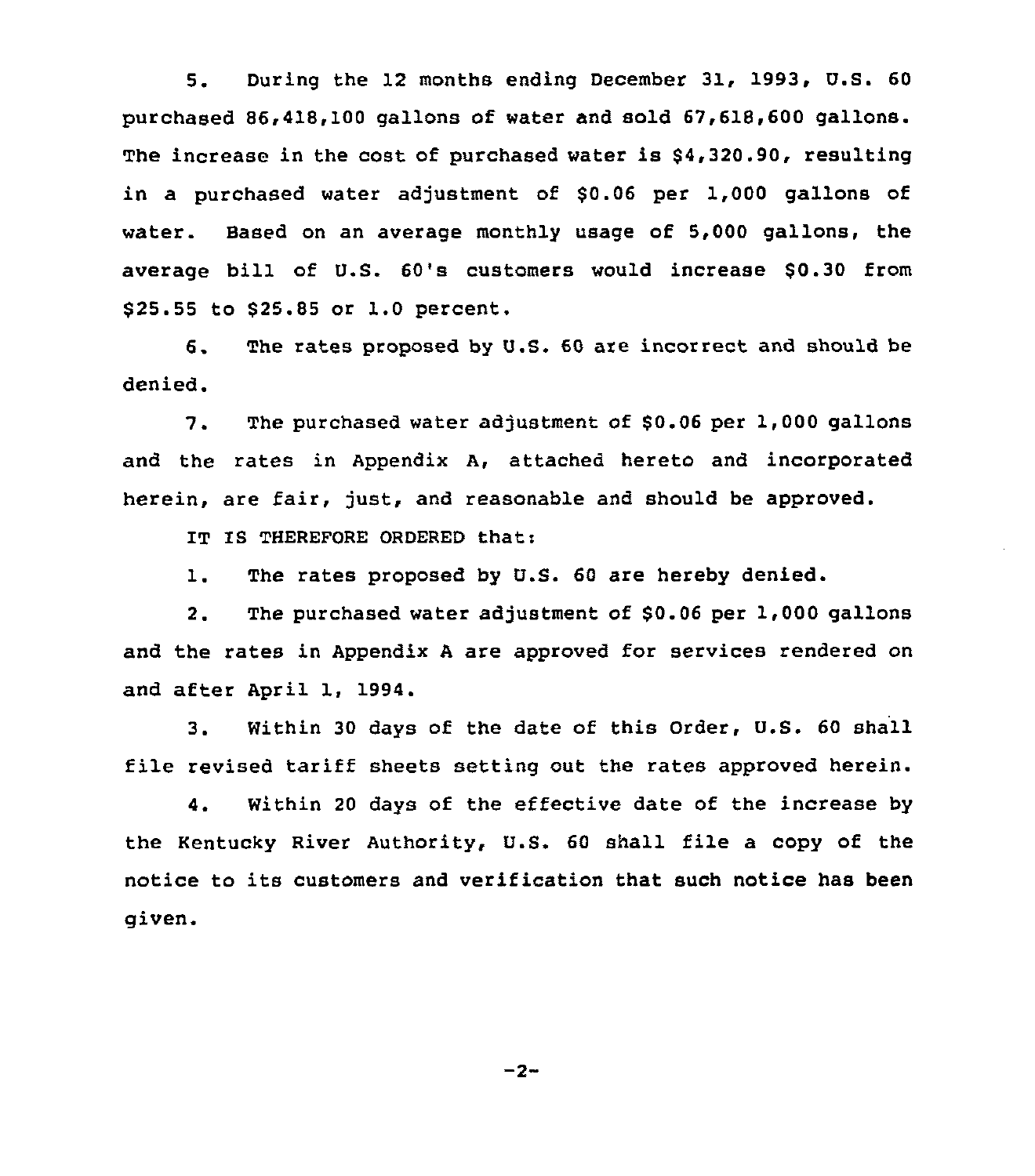5. During the 12 months ending December 31, 1993, U.S. 60 purchased 86,418,100 gallons of water and sold 67,618,600 gallons. The increase in the cost of purchased water is 84,320.90, resulting in a purchased water adjustment of \$0.06 per 1,000 gallons of water. Based on an average monthly usage of 5,000 gallons, the average bill of U.S. 60's customers would increase 80.30 from \$25.55 to \$25.85 or 1.0 percent.

6. The rates proposed by U.S. 60 are incorrect and should be denied.

7. The purchased water adjustment of \$0.06 per 1,000 gallons and the rates in Appendix A, attached hereto and incorporated herein, are fair, just, and reasonable and should be approved.

IT IS THEREFORE ORDERED that:

1. The rates proposed by U.S. <sup>60</sup> are hereby denied.

2. The purchased water adjustment of 80.06 per 1,000 gallons and the rates in Appendix <sup>A</sup> are approved for services rendered on and after April 1, 1994.

3. Within 30 days of the date of this Order, U.S. <sup>60</sup> shall file revised tariff sheets setting out the rates approved herein.

4. Within 20 days of the effective date of the increase by the Kentucky River Authority, U.S. <sup>60</sup> shall file a copy of the notice to its customers and verification that such notice has been given.

 $-2-$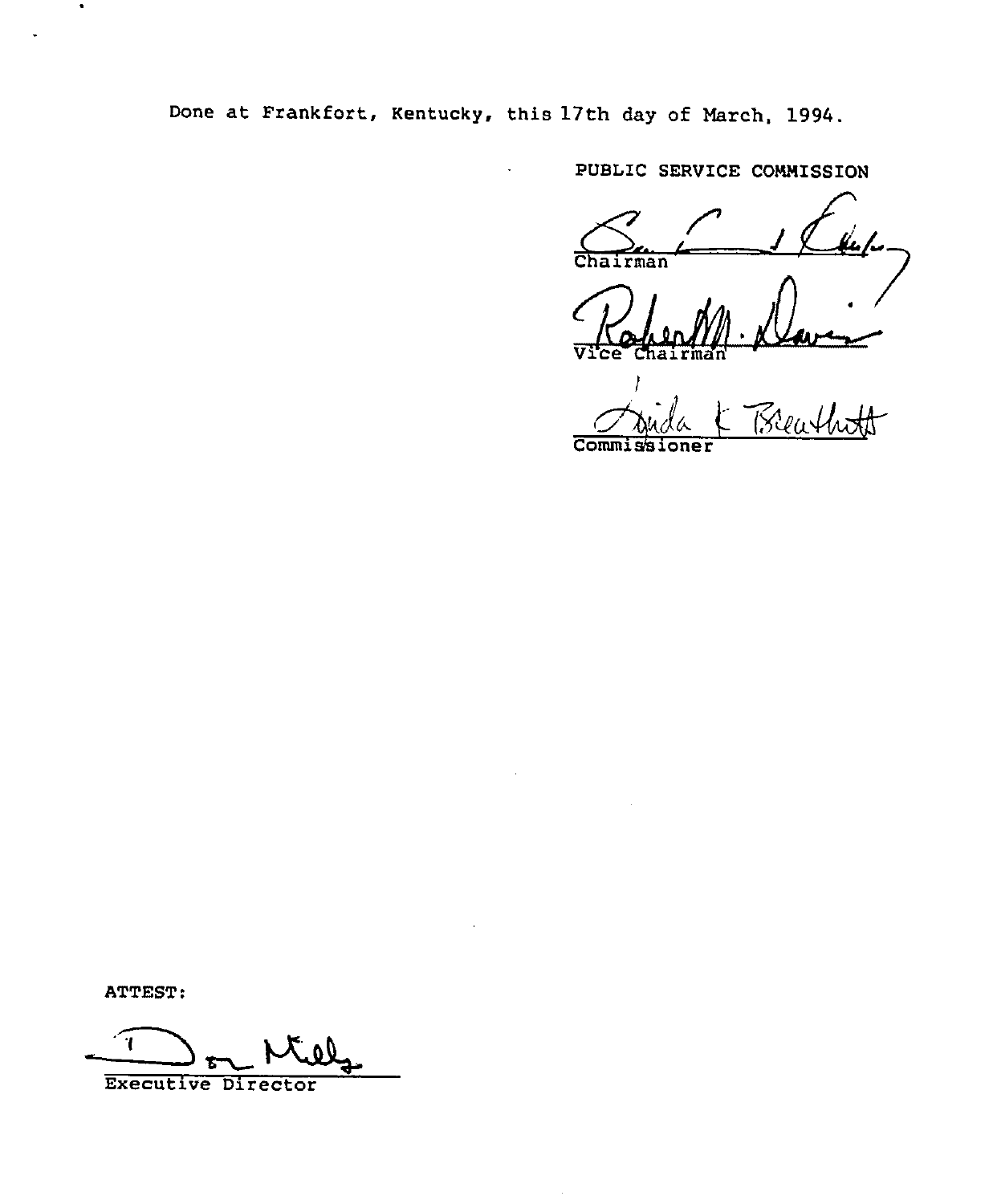Done at Frankfort, Kentucky, this 17th day of March, 1994.

PUBLIC SERVICE COMMISSION

irman

 $V$ ice Chai

.<br>Rende<del>ls Hr</del>

Commiss

ATTEST:

 $\bullet$ 

์ข Executive Director